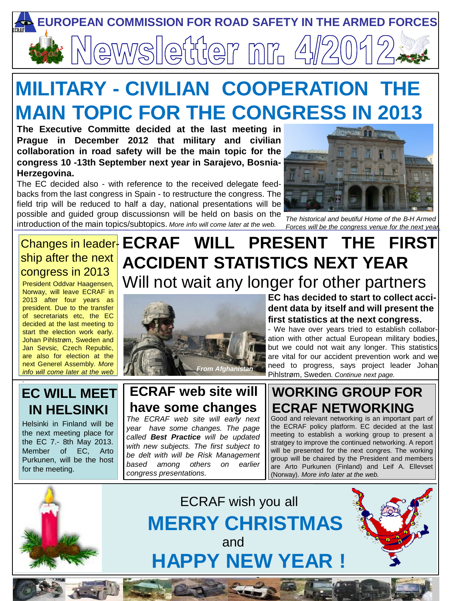

# **MILITARY - CIVILIAN COOPERATION TH MAIN TOPIC FOR THE CONGRESS IN 2013**

**The Executive Committe decided at the last meeting in Prague in December 2012 that military and civilian collaboration in road safety will be the main topic for the congress 10 -13th September next year in Sarajevo, Bosnia-Herzegovina.**

The EC decided also - with reference to the received delegate feedbacks from the last congress in Spain - to restructure the congress. The field trip will be reduced to half a day, national presentations will be possible and guided group discussionsn will be held on basis on the introduction of the main topics/subtopics. *More info will come later at the web.*



*The historical and beutiful Home of the B-H Armed Forces will be the congress venue for the next year.*

## ship after the next congress in 2013

President Oddvar Haagensen, Norway, will leave ECRAF in 2013 after four years as president. Due to the transfer of secretariats etc, the EC decided at the last meeting to start the election work early. Johan Pihlstrøm, Sweden and Jan Sevsic, Czech Republic, are also for election at the next Generel Assembly. *More info will come later at the web*

## Changes in leader-**ECRAF WILL PRESENT THE FIRST ACCIDENT STATISTICS NEXT YEAR** Will not wait any longer for other partners



**EC has decided to start to collect accident data by itself and will present the first statistics at the next congress.**

- We have over years tried to establish collaboration with other actual European military bodies, but we could not wait any longer. This statistics are vital for our accident prevention work and we need to progress, says project leader Johan Pihlstrøm, Sweden*. Continue next page.*

### **EC WILL MEET IN HELSINKI**

*.*

Helsinki in Finland will be the next meeting place for the EC 7.- 8th May 2013. Member of EC, Arto Purkunen, will be the host for the meeting.

## **ECRAF web site will have some changes**

*The ECRAF web site will early next year have some changes. The page called Best Practice will be updated with new subjects. The first subject to be delt with will be Risk Management based among others on earlier congress presentations.* 

## **WORKING GROUP FOR ECRAF NETWORKING**

are Arto Purkunen (Finland) and Leif A. Ellevset Good and relevant networking is an important part of the ECRAF policy platform. EC decided at the last meeting to establish a working group to present a stratgey to improve the continued networking. A report will be presented for the next congres. The working group will be chaired by the President and members (Norway). *More info later at the web.*